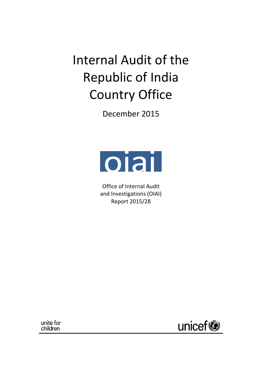Internal Audit of the Republic of India Country Office

December 2015



Office of Internal Audit and Investigations (OIAI) Report 2015/28

unite for children

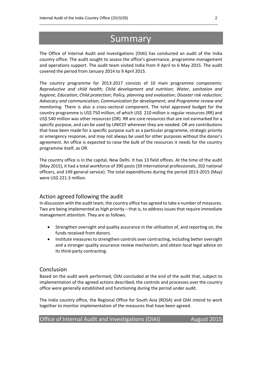# Summary

\_\_\_\_\_\_\_\_\_\_\_\_\_\_\_\_\_\_\_\_\_\_\_\_\_\_\_\_\_\_\_\_\_\_\_\_\_\_\_\_\_\_\_\_\_\_\_\_\_\_\_\_\_\_\_\_\_\_\_\_\_\_\_\_\_\_\_\_\_\_\_\_\_\_\_\_\_\_\_\_\_

The Office of Internal Audit and Investigations (OIAI) has conducted an audit of the India country office. The audit sought to assess the office's governance, programme management and operations support. The audit team visited India from 9 April to 6 May 2015. The audit covered the period from January 2014 to 9 April 2015.

The country programme for 2013-2017 consists of 10 main programme components: *Reproductive and child health*; *Child development and nutrition*; *Water, sanitation and hygiene*; *Education*; *Child protection*; *Policy, planning and evaluation*; *Disaster risk reduction*; *Advocacy and communication*; *Communication for development*; *and Programme review and monitoring.* There is also a cross-sectoral component. The total approved budget for the country programme is US\$ 750 million, of which US\$ 210 million is regular resources (RR) and US\$ 540 million was other resources (OR). RR are core resources that are not earmarked for a specific purpose, and can be used by UNICEF wherever they are needed. OR are contributions that have been made for a specific purpose such as a particular programme, strategic priority or emergency response, and may not always be used for other purposes without the donor's agreement. An office is expected to raise the bulk of the resources it needs for the country programme itself, as OR.

The country office is in the capital, New Delhi. It has 13 field offices. At the time of the audit (May 2015), it had a total workforce of 390 posts (39 international professionals, 202 national officers, and 149 general service). The total expenditures during the period 2013-2015 (May) were US\$ 221.3 million.

# Action agreed following the audit

In discussion with the audit team, the country office has agreed to take a number of measures. Two are being implemented as high priority – that is, to address issues that require immediate management attention. They are as follows.

- Strengthen oversight and quality assurance in the utilization of, and reporting on, the funds received from donors.
- Institute measures to strengthen controls over contracting, including better oversight and a stronger quality assurance review mechanism; and obtain local legal advice on its third-party contracting.

### Conclusion

Based on the audit work performed, OIAI concluded at the end of the audit that, subject to implementation of the agreed actions described, the controls and processes over the country office were generally established and functioning during the period under audit.

The India country office, the Regional Office for South Asia (ROSA) and OIAI intend to work together to monitor implementation of the measures that have been agreed.

# Office of Internal Audit and Investigations (OIAI) August 2015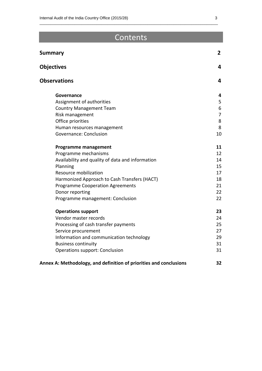# Contents

\_\_\_\_\_\_\_\_\_\_\_\_\_\_\_\_\_\_\_\_\_\_\_\_\_\_\_\_\_\_\_\_\_\_\_\_\_\_\_\_\_\_\_\_\_\_\_\_\_\_\_\_\_\_\_\_\_\_\_\_\_\_\_\_\_\_\_\_\_\_\_\_\_\_\_\_\_\_\_\_\_

| <b>Summary</b>                                                     | $\mathbf{2}$   |
|--------------------------------------------------------------------|----------------|
| <b>Objectives</b>                                                  | 4              |
| <b>Observations</b>                                                | 4              |
| Governance                                                         | 4              |
| Assignment of authorities                                          | 5              |
| <b>Country Management Team</b>                                     | 6              |
| Risk management                                                    | $\overline{7}$ |
| Office priorities                                                  | 8              |
| Human resources management                                         | 8              |
| Governance: Conclusion                                             | 10             |
| <b>Programme management</b>                                        | 11             |
| Programme mechanisms                                               | 12             |
| Availability and quality of data and information                   | 14             |
| Planning                                                           | 15             |
| Resource mobilization                                              | 17             |
| Harmonized Approach to Cash Transfers (HACT)                       | 18             |
| <b>Programme Cooperation Agreements</b>                            | 21             |
| Donor reporting                                                    | 22             |
| Programme management: Conclusion                                   | 22             |
| <b>Operations support</b>                                          | 23             |
| Vendor master records                                              | 24             |
| Processing of cash transfer payments                               | 25             |
| Service procurement                                                | 27             |
| Information and communication technology                           | 29             |
| <b>Business continuity</b>                                         | 31             |
| Operations support: Conclusion                                     | 31             |
| Annex A: Methodology, and definition of priorities and conclusions | 32             |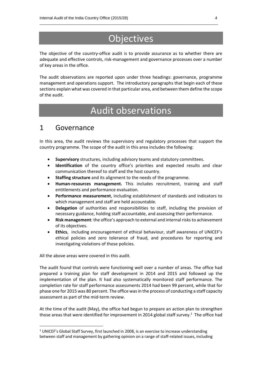# **Objectives**

\_\_\_\_\_\_\_\_\_\_\_\_\_\_\_\_\_\_\_\_\_\_\_\_\_\_\_\_\_\_\_\_\_\_\_\_\_\_\_\_\_\_\_\_\_\_\_\_\_\_\_\_\_\_\_\_\_\_\_\_\_\_\_\_\_\_\_\_\_\_\_\_\_\_\_\_\_\_\_\_\_

The objective of the country-office audit is to provide assurance as to whether there are adequate and effective controls, risk-management and governance processes over a number of key areas in the office.

The audit observations are reported upon under three headings: governance, programme management and operations support. The introductory paragraphs that begin each of these sections explain what was covered in that particular area, and between them define the scope of the audit.

# Audit observations

# 1 Governance

In this area, the audit reviews the supervisory and regulatory processes that support the country programme. The scope of the audit in this area includes the following:

- **Supervisory** structures, including advisory teams and statutory committees.
- **Identification** of the country office's priorities and expected results and clear communication thereof to staff and the host country.
- **Staffing structure** and its alignment to the needs of the programme.
- **Human-resources management.** This includes recruitment, training and staff entitlements and performance evaluation.
- **Performance measurement**, including establishment of standards and indicators to which management and staff are held accountable.
- **Delegation** of authorities and responsibilities to staff, including the provision of necessary guidance, holding staff accountable, and assessing their performance.
- **Risk management**: the office's approach to external and internal risks to achievement of its objectives.
- **Ethics**, including encouragement of ethical behaviour, staff awareness of UNICEF's ethical policies and zero tolerance of fraud, and procedures for reporting and investigating violations of those policies.

All the above areas were covered in this audit.

 $\overline{a}$ 

The audit found that controls were functioning well over a number of areas. The office had prepared a training plan for staff development in 2014 and 2015 and followed up the implementation of the plan. It had also systematically monitored staff performance. The completion rate for staff performance assessments 2014 had been 99 percent, while that for phase one for 2015 was 80 percent. The office was in the process of conducting a staff capacity assessment as part of the mid-term review.

At the time of the audit (May), the office had begun to prepare an action plan to strengthen those areas that were identified for improvement in 2014 global staff survey.<sup>1</sup> The office had

 $1$  UNICEF's Global Staff Survey, first launched in 2008, is an exercise to increase understanding between staff and management by gathering opinion on a range of staff-related issues, including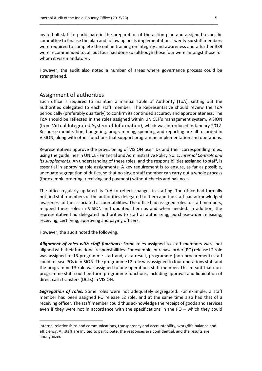invited all staff to participate in the preparation of the action plan and assigned a specific committee to finalise the plan and follow up on itsimplementation. Twenty-six staff members were required to complete the online training on integrity and awareness and a further 339 were recommended to; all but four had done so (although those four were amongst those for whom it was mandatory).

\_\_\_\_\_\_\_\_\_\_\_\_\_\_\_\_\_\_\_\_\_\_\_\_\_\_\_\_\_\_\_\_\_\_\_\_\_\_\_\_\_\_\_\_\_\_\_\_\_\_\_\_\_\_\_\_\_\_\_\_\_\_\_\_\_\_\_\_\_\_\_\_\_\_\_\_\_\_\_\_\_

However, the audit also noted a number of areas where governance process could be strengthened.

### Assignment of authorities

Each office is required to maintain a manual Table of Authority (ToA), setting out the authorities delegated to each staff member. The Representative should review the ToA periodically (preferably quarterly) to confirm its continued accuracy and appropriateness. The ToA should be reflected in the roles assigned within UNICEF's management system, VISION (from Virtual Integrated System of Information), which was introduced in January 2012. Resource mobilization, budgeting, programming, spending and reporting are all recorded in VISION, along with other functions that support programme implementation and operations.

Representatives approve the provisioning of VISION user IDs and their corresponding roles, using the guidelines in UNICEF Financial and Administrative Policy No. 1: *Internal Controls and its supplements*. An understanding of these roles, and the responsibilities assigned to staff, is essential in approving role assignments. A key requirement is to ensure, as far as possible, adequate segregation of duties, so that no single staff member can carry out a whole process (for example ordering, receiving and payment) without checks and balances.

The office regularly updated its ToA to reflect changes in staffing. The office had formally notified staff members of the authorities delegated to them and the staff had acknowledged awareness of the associated accountabilities. The office had assigned roles to staff members, mapped these roles in VISION and updated them as and when needed. In addition, the representative had delegated authorities to staff as authorizing, purchase-order releasing, receiving, certifying, approving and paying officers.

However, the audit noted the following.

**.** 

*Alignment of roles with staff functions:* Some roles assigned to staff members were not aligned with their functional responsibilities. For example, purchase order (PO) release L2 role was assigned to 13 programme staff and, as a result, programme (non-procurement) staff could release POs in VISION. The programme L2 role was assigned to four operations staff and the programme L3 role was assigned to one operations staff member. This meant that nonprogramme staff could perform programme functions, including approval and liquidation of direct cash transfers (DCTs) in VISION.

*Segregation of roles:* Some roles were not adequately segregated. For example, a staff member had been assigned PO release L2 role, and at the same time also had that of a receiving officer. The staff member could thus acknowledge the receipt of goods and services even if they were not in accordance with the specifications in the PO – which they could

internal relationships and communications, transparency and accountability, work/life balance and efficiency. All staff are invited to participate; the responses are confidential, and the results are anonymized.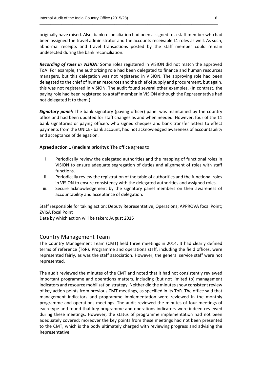originally have raised. Also, bank reconciliation had been assigned to a staff member who had been assigned the travel administrator and the accounts receivable L1 roles as well. As such, abnormal receipts and travel transactions posted by the staff member could remain undetected during the bank reconciliation.

\_\_\_\_\_\_\_\_\_\_\_\_\_\_\_\_\_\_\_\_\_\_\_\_\_\_\_\_\_\_\_\_\_\_\_\_\_\_\_\_\_\_\_\_\_\_\_\_\_\_\_\_\_\_\_\_\_\_\_\_\_\_\_\_\_\_\_\_\_\_\_\_\_\_\_\_\_\_\_\_\_

*Recording of roles in VISION:* Some roles registered in VISION did not match the approved ToA. For example, the authorizing role had been delegated to finance and human resources managers, but this delegation was not registered in VISION. The approving role had been delegated to the chief of human resources and the chief of supply and procurement, but again, this was not registered in VISION. The audit found several other examples. (In contrast, the paying role had been registered to a staff member in VISION although the Representative had not delegated it to them.)

*Signatory panel:* The bank signatory (paying officer) panel was maintained by the country office and had been updated for staff changes as and when needed. However, four of the 11 bank signatories or paying officers who signed cheques and bank transfer letters to effect payments from the UNICEF bank account, had not acknowledged awareness of accountability and acceptance of delegation.

**Agreed action 1 (medium priority):** The office agrees to:

- i. Periodically review the delegated authorities and the mapping of functional roles in VISION to ensure adequate segregation of duties and alignment of roles with staff functions.
- ii. Periodically review the registration of the table of authorities and the functional roles in VISION to ensure consistency with the delegated authorities and assigned roles.
- iii. Secure acknowledgement by the signatory panel members on their awareness of accountability and acceptance of delegation.

Staff responsible for taking action: Deputy Representative, Operations; APPROVA focal Point; ZVISA focal Point

Date by which action will be taken: August 2015

### Country Management Team

The Country Management Team (CMT) held three meetings in 2014. It had clearly defined terms of reference (ToR). Programme and operations staff, including the field offices, were represented fairly, as was the staff association. However, the general service staff were not represented.

The audit reviewed the minutes of the CMT and noted that it had not consistently reviewed important programme and operations matters, including (but not limited to) management indicators and resource mobilization strategy. Neither did the minutes show consistent review of key action points from previous CMT meetings, as specified in its ToR. The office said that management indicators and programme implementation were reviewed in the monthly programme and operations meetings. The audit reviewed the minutes of four meetings of each type and found that key programme and operations indicators were indeed reviewed during these meetings. However, the status of programme implementation had not been adequately covered; moreover the key points from these meetings had not been presented to the CMT, which is the body ultimately charged with reviewing progress and advising the Representative.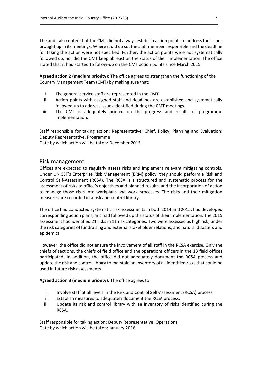The audit also noted that the CMT did not always establish action points to address the issues brought up in its meetings. Where it did do so, the staff member responsible and the deadline for taking the action were not specified. Further, the action points were not systematically followed up, nor did the CMT keep abreast on the status of their implementation. The office stated that it had started to follow-up on the CMT action points since March 2015.

\_\_\_\_\_\_\_\_\_\_\_\_\_\_\_\_\_\_\_\_\_\_\_\_\_\_\_\_\_\_\_\_\_\_\_\_\_\_\_\_\_\_\_\_\_\_\_\_\_\_\_\_\_\_\_\_\_\_\_\_\_\_\_\_\_\_\_\_\_\_\_\_\_\_\_\_\_\_\_\_\_

**Agreed action 2 (medium priority):** The office agrees to strengthen the functioning of the Country Management Team (CMT) by making sure that:

- i. The general service staff are represented in the CMT.
- ii. Action points with assigned staff and deadlines are established and systematically followed up to address issues identified during the CMT meetings.
- iii. The CMT is adequately briefed on the progress and results of programme implementation.

Staff responsible for taking action: Representative; Chief, Policy, Planning and Evaluation; Deputy Representative, Programme

Date by which action will be taken: December 2015

## Risk management

Offices are expected to regularly assess risks and implement relevant mitigating controls. Under UNICEF's Enterprise Risk Management (ERM) policy, they should perform a Risk and Control Self-Assessment (RCSA). The RCSA is a structured and systematic process for the assessment of risks to office's objectives and planned results, and the incorporation of action to manage those risks into workplans and work processes. The risks and their mitigation measures are recorded in a risk and control library.

The office had conducted systematic risk assessments in both 2014 and 2015, had developed corresponding action plans, and had followed up the status of their implementation. The 2015 assessment had identified 21 risks in 11 risk categories. Two were assessed as high risk, under the risk categories of fundraising and external stakeholder relations, and natural disasters and epidemics.

However, the office did not ensure the involvement of all staff in the RCSA exercise. Only the chiefs of sections, the chiefs of field office and the operations officers in the 13 field offices participated. In addition, the office did not adequately document the RCSA process and update the risk and control library to maintain an inventory of all identified risks that could be used in future risk assessments.

### **Agreed action 3 (medium priority):** The office agrees to:

- i. Involve staff at all levels in the Risk and Control Self-Assessment (RCSA) process.
- ii. Establish measures to adequately document the RCSA process.
- iii. Update its risk and control library with an inventory of risks identified during the RCSA.

Staff responsible for taking action: Deputy Representative, Operations Date by which action will be taken: January 2016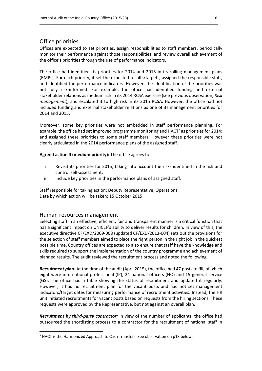# Office priorities

Offices are expected to set priorities, assign responsibilities to staff members, periodically monitor their performance against those responsibilities, and review overall achievement of the office's priorities through the use of performance indicators.

\_\_\_\_\_\_\_\_\_\_\_\_\_\_\_\_\_\_\_\_\_\_\_\_\_\_\_\_\_\_\_\_\_\_\_\_\_\_\_\_\_\_\_\_\_\_\_\_\_\_\_\_\_\_\_\_\_\_\_\_\_\_\_\_\_\_\_\_\_\_\_\_\_\_\_\_\_\_\_\_\_

The office had identified its priorities for 2014 and 2015 in its rolling management plans (RMPs). For each priority, it set the expected results/targets, assigned the responsible staff, and identified the performance indicators. However, the identification of the priorities was not fully risk-informed. For example, the office had identified funding and external stakeholder relations as medium risk in its 2014 RCSA exercise (see previous observation, *Risk management*), and escalated it to high risk in its 2015 RCSA. However, the office had not included funding and external stakeholder relations as one of its management priorities for 2014 and 2015.

Moreover, some key priorities were not embedded in staff performance planning. For example, the office had set improved programme monitoring and HACT<sup>2</sup> as priorities for 2014; and assigned these priorities to some staff members. However these priorities were not clearly articulated in the 2014 performance plans of the assigned staff.

**Agreed action 4 (medium priority):** The office agrees to:

- i. Revisit its priorities for 2015, taking into account the risks identified in the risk and control self-assessment.
- ii. Include key priorities in the performance plans of assigned staff.

Staff responsible for taking action: Deputy Representative, Operations Date by which action will be taken: 15 October 2015

#### Human resources management

**.** 

Selecting staff in an effective, efficient, fair and transparent manner is a critical function that has a significant impact on UNICEF's ability to deliver results for children. In view of this, the executive directive CF/EXD/2009-008 (updated CF/EXD/2013-004) sets out the provisions for the selection of staff members aimed to place the right person in the right job in the quickest possible time. Country offices are expected to also ensure that staff have the knowledge and skills required to support the implementation of the country programme and achievement of planned results. The audit reviewed the recruitment process and noted the following.

*Recruitment plan:* At the time of the audit (April 2015), the office had 47 posts to fill, of which eight were international professional (IP), 24 national officers (NO) and 15 general service (GS). The office had a table showing the status of recruitment and updated it regularly. However, it had no recruitment plan for the vacant posts and had not set management indicators/target dates for measuring performance of recruitment activities. Instead, the HR unit initiated recruitments for vacant posts based on requests from the hiring sections. These requests were approved by the Representative, but not against an overall plan.

*Recruitment by third-party contractor:* In view of the number of applicants, the office had outsourced the shortlisting process to a contractor for the recruitment of national staff in

 $<sup>2</sup>$  HACT is the Harmonized Approach to Cash Transfers. See observation on p18 below.</sup>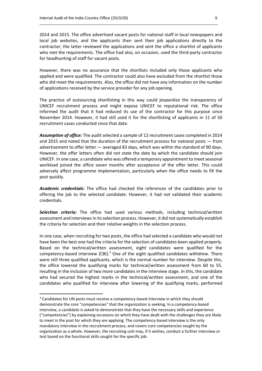2014 and 2015. The office advertised vacant posts for national staff in local newspapers and local job websites, and the applicants then sent their job applications directly to the contractor; the latter reviewed the applications and sent the office a shortlist of applicants who met the requirements. The office had also, on occasion, used the third-party contractor for headhunting of staff for vacant posts.

\_\_\_\_\_\_\_\_\_\_\_\_\_\_\_\_\_\_\_\_\_\_\_\_\_\_\_\_\_\_\_\_\_\_\_\_\_\_\_\_\_\_\_\_\_\_\_\_\_\_\_\_\_\_\_\_\_\_\_\_\_\_\_\_\_\_\_\_\_\_\_\_\_\_\_\_\_\_\_\_\_

However, there was no assurance that the shortlists included only those applicants who applied and were qualified. The contractor could also have excluded from the shortlist those who did meet the requirements. Also, the office did not have any information on the number of applications received by the service provider for any job opening.

The practice of outsourcing shortlisting in this way could jeopardize the transparency of UNICEF recruitment process and might expose UNICEF to reputational risk. The office informed the audit that it had reduced its use of the contractor for this purpose since November 2014. However, it had still used it for the shortlisting of applicants in 11 of 50 recruitment cases conducted since that date.

*Assumption of office:* The audit selected a sample of 12 recruitment cases completed in 2014 and 2015 and noted that the duration of the recruitment process for national posts — from advertisement to offer letter — averaged 83 days, which was within the standard of 90 days. However, the offer letters often did not state the date by which the candidate should join UNICEF. In one case, a candidate who was offered a temporary appointment to meet seasonal workload joined the office seven months after acceptance of the offer letter. This could adversely affect programme implementation, particularly when the office needs to fill the post quickly.

*Academic credentials:* The office had checked the references of the candidates prior to offering the job to the selected candidate. However, it had not validated their academic credentials.

*Selection criteria:* The office had used various methods, including technical/written assessment and interviews in its selection process. However, it did not systematically establish the criteria for selection and their relative weights in the selection process.

In one case, when recruiting for two posts, the office had selected a candidate who would not have been the best one had the criteria for the selection of candidates been applied properly. Based on the technical/written assessment, eight candidates were qualified for the competency-based interview (CBI).<sup>3</sup> One of the eight qualified candidates withdrew. There were still three qualified applicants, which is the normal number for interview. Despite this, the office lowered the qualifying marks for technical/written assessment from 60 to 55, resulting in the inclusion of two more candidates in the interview stage. In this, the candidate who had secured the highest marks in the technical/written assessment, and one of the candidates who qualified for interview after lowering of the qualifying marks, performed

**.** 

<sup>&</sup>lt;sup>3</sup> Candidates for UN posts must receive a competency-based interview in which they should demonstrate the core "competencies" that the organization is seeking. In a competency-based interview, a candidate is asked to demonstrate that they have the necessary skills and experience ("competencies") by explaining occasions on which they have dealt with the challenges they are likely to meet in the post for which they are applying. The competency-based interview is the only mandatory interview in the recruitment process, and covers core competencies sought by the organization as a whole. However, the recruiting unit may, if it wishes, conduct a further interview or test based on the functional skills sought for the specific job.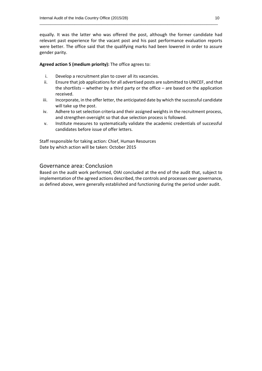equally. It was the latter who was offered the post, although the former candidate had relevant past experience for the vacant post and his past performance evaluation reports were better. The office said that the qualifying marks had been lowered in order to assure gender parity.

\_\_\_\_\_\_\_\_\_\_\_\_\_\_\_\_\_\_\_\_\_\_\_\_\_\_\_\_\_\_\_\_\_\_\_\_\_\_\_\_\_\_\_\_\_\_\_\_\_\_\_\_\_\_\_\_\_\_\_\_\_\_\_\_\_\_\_\_\_\_\_\_\_\_\_\_\_\_\_\_\_

### **Agreed action 5 (medium priority):** The office agrees to:

- i. Develop a recruitment plan to cover all its vacancies.
- ii. Ensure that job applications for all advertised posts are submitted to UNICEF, and that the shortlists – whether by a third party or the office – are based on the application received.
- iii. Incorporate, in the offer letter, the anticipated date by which the successful candidate will take up the post.
- iv. Adhere to set selection criteria and their assigned weights in the recruitment process, and strengthen oversight so that due selection process is followed.
- v. Institute measures to systematically validate the academic credentials of successful candidates before issue of offer letters.

Staff responsible for taking action: Chief, Human Resources Date by which action will be taken: October 2015

# Governance area: Conclusion

Based on the audit work performed, OIAI concluded at the end of the audit that, subject to implementation of the agreed actions described, the controls and processes over governance, as defined above, were generally established and functioning during the period under audit.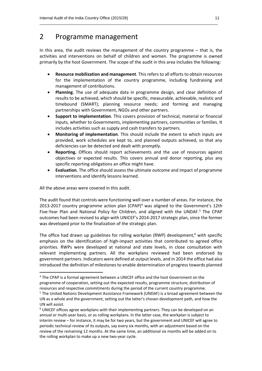# 2 Programme management

In this area, the audit reviews the management of the country programme – that is, the activities and interventions on behalf of children and women. The programme is owned primarily by the host Government. The scope of the audit in this area includes the following:

\_\_\_\_\_\_\_\_\_\_\_\_\_\_\_\_\_\_\_\_\_\_\_\_\_\_\_\_\_\_\_\_\_\_\_\_\_\_\_\_\_\_\_\_\_\_\_\_\_\_\_\_\_\_\_\_\_\_\_\_\_\_\_\_\_\_\_\_\_\_\_\_\_\_\_\_\_\_\_\_\_

- **Resource mobilization and management**. This refers to all efforts to obtain resources for the implementation of the country programme, including fundraising and management of contributions.
- **Planning**. The use of adequate data in programme design, and clear definition of results to be achieved, which should be specific, measurable, achievable, realistic and timebound (SMART); planning resource needs; and forming and managing partnerships with Government, NGOs and other partners.
- **Support to implementation**. This covers provision of technical, material or financial inputs, whether to Governments, implementing partners, communities or families. It includes activities such as supply and cash transfers to partners.
- **Monitoring of implementation**. This should include the extent to which inputs are provided, work schedules are kept to, and planned outputs achieved, so that any deficiencies can be detected and dealt with promptly.
- **Reporting.** Offices should report achievements and the use of resources against objectives or expected results. This covers annual and donor reporting, plus any specific reporting obligations an office might have.
- **Evaluation**. The office should assess the ultimate outcome and impact of programme interventions and identify lessons learned.

All the above areas were covered in this audit.

**.** 

The audit found that controls were functioning well over a number of areas. For instance, the 2013-2017 country programme action plan  $(CPAP)^4$  was aligned to the Government's 12th Five-Year Plan and National Policy for Children, and aligned with the UNDAF.<sup>5</sup> The CPAP outcomes had been revised to align with UNICEF's 2014-2017 strategic plan, since the former was developed prior to the finalization of the strategic plan.

The office had drawn up guidelines for rolling workplan (RWP) development,<sup>6</sup> with specific emphasis on the identification of high-impact activities that contributed to agreed office priorities. RWPs were developed at national and state levels, in close consultation with relevant implementing partners. All the workplans reviewed had been endorsed by government partners. Indicators were defined at output levels, and in 2014 the office had also introduced the definition of milestones to enable determination of progress towards planned

<sup>4</sup> The CPAP is a formal agreement between a UNICEF office and the host Government on the programme of cooperation, setting out the expected results, programme structure, distribution of resources and respective commitments during the period of the current country programme. <sup>5</sup> The United Nations Development Assistance Framework (UNDAF) is a broad agreement between the UN as a whole and the government, setting out the latter's chosen development path, and how the

UN will assist. <sup>6</sup> UNICEF offices agree workplans with their implementing partners. They can be developed on an annual or multi-year basis, or as rolling workplans. In the latter case, the workplan is subject to interim review – for instance, it may be for two years, but the government and UNICEF will agree to periodic technical review of its outputs, say every six months, with an adjustment based on the review of the remaining 12 months. At the same time, an additional six months will be added on to the rolling workplan to make up a new two-year cycle.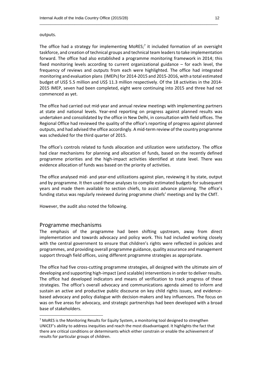#### outputs.

The office had a strategy for implementing MoRES;<sup>7</sup> it included formation of an oversight taskforce, and creation of technical groups and technical team leaders to take implementation forward. The office had also established a programme monitoring framework in 2014; this fixed monitoring levels according to current organizational guidance – for each level, the frequency of reviews and outputs from each were highlighted. The office had integrated monitoring and evaluation plans (IMEPs) for 2014-2015 and 2015-2016, with a total estimated budget of US\$ 5.5 million and US\$ 11.3 million respectively. Of the 18 activities in the 2014- 2015 IMEP, seven had been completed, eight were continuing into 2015 and three had not commenced as yet.

\_\_\_\_\_\_\_\_\_\_\_\_\_\_\_\_\_\_\_\_\_\_\_\_\_\_\_\_\_\_\_\_\_\_\_\_\_\_\_\_\_\_\_\_\_\_\_\_\_\_\_\_\_\_\_\_\_\_\_\_\_\_\_\_\_\_\_\_\_\_\_\_\_\_\_\_\_\_\_\_\_

The office had carried out mid-year and annual review meetings with implementing partners at state and national levels. Year-end reporting on progress against planned results was undertaken and consolidated by the office in New Delhi, in consultation with field offices. The Regional Office had reviewed the quality of the office's reporting of progress against planned outputs, and had advised the office accordingly. A mid-term review of the country programme was scheduled for the third quarter of 2015.

The office's controls related to funds allocation and utilization were satisfactory. The office had clear mechanisms for planning and allocation of funds, based on the recently defined programme priorities and the high-impact activities identified at state level. There was evidence allocation of funds was based on the priority of activities.

The office analysed mid- and year-end utilizations against plan, reviewing it by state, output and by programme. It then used these analyses to compile estimated budgets for subsequent years and made them available to section chiefs, to assist advance planning. The office's funding status was regularly reviewed during programme chiefs' meetings and by the CMT.

However, the audit also noted the following.

#### Programme mechanisms

1

The emphasis of the programme had been shifting upstream, away from direct implementation and towards advocacy and policy work. This had included working closely with the central government to ensure that children's rights were reflected in policies and programmes, and providing overall programme guidance, quality assurance and management support through field offices, using different programme strategies as appropriate.

The office had five cross-cutting programme strategies, all designed with the ultimate aim of developing and supporting high-impact (and scalable) interventions in order to deliver results. The office had developed indicators and means of verification to track progress of these strategies. The office's overall advocacy and communications agenda aimed to inform and sustain an active and productive public discourse on key child rights issues, and evidencebased advocacy and policy dialogue with decision-makers and key influencers. The focus on was on five areas for advocacy, and strategic partnerships had been developed with a broad base of stakeholders.

<sup>&</sup>lt;sup>7</sup> MoRES is the Monitoring Results for Equity System, a monitoring tool designed to strengthen UNICEF's ability to address inequities and reach the most disadvantaged. It highlights the fact that there are critical conditions or determinants which either constrain or enable the achievement of results for particular groups of children.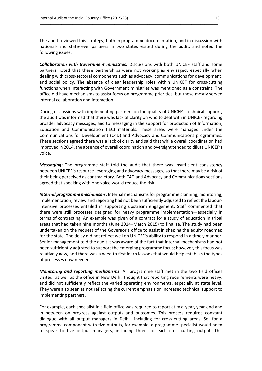The audit reviewed this strategy, both in programme documentation, and in discussion with national- and state-level partners in two states visited during the audit, and noted the following issues.

\_\_\_\_\_\_\_\_\_\_\_\_\_\_\_\_\_\_\_\_\_\_\_\_\_\_\_\_\_\_\_\_\_\_\_\_\_\_\_\_\_\_\_\_\_\_\_\_\_\_\_\_\_\_\_\_\_\_\_\_\_\_\_\_\_\_\_\_\_\_\_\_\_\_\_\_\_\_\_\_\_

*Collaboration with Government ministries:* Discussions with both UNICEF staff and some partners noted that these partnerships were not working as envisaged, especially when dealing with cross-sectoral components such as advocacy, communications for development, and social policy. The absence of clear leadership roles within UNICEF for cross-cutting functions when interacting with Government ministries was mentioned as a constraint. The office did have mechanisms to assist focus on programme priorities, but these mostly served internal collaboration and interaction.

During discussions with implementing partners on the quality of UNICEF's technical support, the audit was informed that there was lack of clarity on who to deal with in UNICEF regarding broader advocacy messages; and to messaging in the support for production of Information, Education and Communication (IEC) materials. These areas were managed under the Communications for Development (C4D) and Advocacy and Communications programmes. These sections agreed there was a lack of clarity and said that while overall coordination had improved in 2014, the absence of overall coordination and oversight tended to dilute UNICEF's voice.

*Messaging:* The programme staff told the audit that there was insufficient consistency between UNICEF's resource-leveraging and advocacy messages, so that there may be a risk of their being perceived as contradictory. Both C4D and Advocacy and Communications sections agreed that speaking with one voice would reduce the risk.

*Internal programme mechanisms:* Internal mechanismsfor programme planning, monitoring, implementation, review and reporting had not been sufficiently adjusted to reflect the labourintensive processes entailed in supporting upstream engagement. Staff commented that there were still processes designed for heavy programme implementation—especially in terms of contracting. An example was given of a contract for a study of education in tribal areas that had taken nine months (June 2014–March 2015) to finalize. The study had been undertaken on the request of the Governor's office to assist in shaping the equity roadmap for the state. The delay did not reflect well on UNICEF's ability to respond in a timely manner. Senior management told the audit it was aware of the fact that internal mechanisms had not been sufficiently adjusted to support the emerging programme focus; however, this focus was relatively new, and there was a need to first learn lessons that would help establish the types of processes now needed.

*Monitoring and reporting mechanisms:* All programme staff met in the two field offices visited, as well as the office in New Delhi, thought that reporting requirements were heavy, and did not sufficiently reflect the varied operating environments, especially at state level. They were also seen as not reflecting the current emphasis on increased technical support to implementing partners.

For example, each specialist in a field office was required to report at mid-year, year-end and in between on progress against outputs and outcomes. This process required constant dialogue with all output managers in Delhi—including for cross-cutting areas. So, for a programme component with five outputs, for example, a programme specialist would need to speak to five output managers, including three for each cross-cutting output. This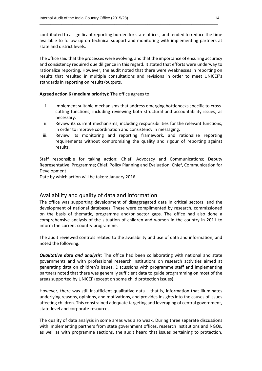contributed to a significant reporting burden for state offices, and tended to reduce the time available to follow up on technical support and monitoring with implementing partners at state and district levels.

\_\_\_\_\_\_\_\_\_\_\_\_\_\_\_\_\_\_\_\_\_\_\_\_\_\_\_\_\_\_\_\_\_\_\_\_\_\_\_\_\_\_\_\_\_\_\_\_\_\_\_\_\_\_\_\_\_\_\_\_\_\_\_\_\_\_\_\_\_\_\_\_\_\_\_\_\_\_\_\_\_

The office said that the processes were evolving, and that the importance of ensuring accuracy and consistency required due diligence in this regard. It stated that efforts were underway to rationalize reporting. However, the audit noted that there were weaknesses in reporting on results that resulted in multiple consultations and revisions in order to meet UNICEF's standards in reporting on results/outputs.

**Agreed action 6 (medium priority):** The office agrees to:

- i. Implement suitable mechanisms that address emerging bottlenecks specific to crosscutting functions, including reviewing both structural and accountability issues, as necessary.
- ii. Review its current mechanisms, including responsibilities for the relevant functions, in order to improve coordination and consistency in messaging.
- iii. Review its monitoring and reporting framework, and rationalize reporting requirements without compromising the quality and rigour of reporting against results.

Staff responsible for taking action: Chief, Advocacy and Communications; Deputy Representative, Programme; Chief, Policy Planning and Evaluation; Chief, Communication for Development

Date by which action will be taken: January 2016

### Availability and quality of data and information

The office was supporting development of disaggregated data in critical sectors, and the development of national databases. These were complimented by research, commissioned on the basis of thematic, programme and/or sector gaps. The office had also done a comprehensive analysis of the situation of children and women in the country in 2011 to inform the current country programme.

The audit reviewed controls related to the availability and use of data and information, and noted the following.

*Qualitative data and analysis:* The office had been collaborating with national and state governments and with professional research institutions on research activities aimed at generating data on children's issues. Discussions with programme staff and implementing partners noted that there was generally sufficient data to guide programming on most of the areas supported by UNICEF (except on some child protection issues).

However, there was still insufficient qualitative data – that is, information that illuminates underlying reasons, opinions, and motivations, and provides insights into the causes of issues affecting children. This constrained adequate targeting and leveraging of central government, state-level and corporate resources.

The quality of data analysis in some areas was also weak. During three separate discussions with implementing partners from state government offices, research institutions and NGOs, as well as with programme sections, the audit heard that issues pertaining to protection,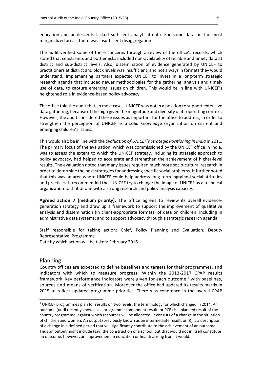education and adolescents lacked sufficient analytical data. For some data on the most marginalized areas, there was insufficient disaggregation.

\_\_\_\_\_\_\_\_\_\_\_\_\_\_\_\_\_\_\_\_\_\_\_\_\_\_\_\_\_\_\_\_\_\_\_\_\_\_\_\_\_\_\_\_\_\_\_\_\_\_\_\_\_\_\_\_\_\_\_\_\_\_\_\_\_\_\_\_\_\_\_\_\_\_\_\_\_\_\_\_\_

The audit verified some of these concerns through a review of the office's records, which stated that constraints and bottlenecks included non-availability of reliable and timely data at district and sub-district levels. Also, dissemination of evidence generated by UNICEF to practitioners at district and block levels was insufficient, and not always in formats they would understand. Implementing partners expected UNICEF to invest in a long-term strategic research agenda that included newer methodologies for the gathering, analysis and timely use of data, to capture emerging issues on children. This would be in line with UNICEF's heightened role in evidence-based policy advocacy.

The office told the audit that, in most cases, UNICEF was not in a position to support extensive data gathering, because of the high given the magnitude and diversity of its operating context. However, the audit considered these issues as important for the office to address, in order to strengthen the perception of UNICEF as a solid knowledge organization on current and emerging children's issues.

This would also be in line with the *Evaluation of UNICEF's Strategic Positioning in India* in 2011. The primary focus of the evaluation, which was commissioned by the UNICEF office in India, was to assess the extent to which the UNICEF strategy, including its strategic approach to policy advocacy, had helped to accelerate and strengthen the achievement of higher-level results. The evaluation noted that many issues required much more socio-cultural research in order to determine the best strategies for addressing specific social problems. It further noted that this was an area where UNICEF could help address long-term ingrained social attitudes and practices. It recommended that UNICEF try to change the image of UNICEF as a technical organization to that of one with a strong research and policy analysis capacity.

**Agreed action 7 (medium priority):** The office agrees to review its overall evidencegeneration strategy and draw up a framework to support the improvement of qualitative analysis and dissemination (in client-appropriate formats) of data on children, including in administrative data systems; and to support advocacy through a strategic research agenda.

Staff responsible for taking action: Chief, Policy Planning and Evaluation; Deputy Representative, Programme

Date by which action will be taken: February 2016

## Planning

**.** 

Country offices are expected to define baselines and targets for their programmes, and indicators with which to measure progress. Within the 2013-2017 CPAP results framework, key performance indicators were given for each outcome,<sup>8</sup> with baselines, sources and means of verification. Moreover the office had updated its results matrix in 2015 to reflect updated programme priorities. There was coherence in the overall CPAP

<sup>&</sup>lt;sup>8</sup> UNICEF programmes plan for results on two levels, the terminology for which changed in 2014. An outcome (until recently known as a programme component result, or PCR) is a planned result of the country programme, against which resources will be allocated. It consists of a change in the situation of children and women. An output (previously known as an intermediate result, or IR) is a description of a change in a defined period that will significantly contribute to the achievement of an outcome. Thus an output might include (say) the construction of a school, but that would not in itself constitute an outcome; however, an improvement in education or health arising from it would.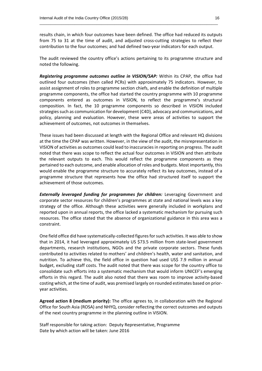results chain, in which four outcomes have been defined. The office had reduced its outputs from 75 to 31 at the time of audit, and adjusted cross-cutting strategies to reflect their contribution to the four outcomes; and had defined two-year indicators for each output.

\_\_\_\_\_\_\_\_\_\_\_\_\_\_\_\_\_\_\_\_\_\_\_\_\_\_\_\_\_\_\_\_\_\_\_\_\_\_\_\_\_\_\_\_\_\_\_\_\_\_\_\_\_\_\_\_\_\_\_\_\_\_\_\_\_\_\_\_\_\_\_\_\_\_\_\_\_\_\_\_\_

The audit reviewed the country office's actions pertaining to its programme structure and noted the following.

*Registering programme outcomes outline in VISION/SAP:* Within its CPAP, the office had outlined four outcomes (then called PCRs) with approximately 75 indicators. However, to assist assignment of roles to programme section chiefs, and enable the definition of multiple programme components, the office had started the country programme with 10 programme components entered as outcomes in VISION, to reflect the programme's structural composition. In fact, the 10 programme components so described in VISION included strategies such as communication for development (C4D), advocacy and communications, and policy, planning and evaluation. However, these were areas of activities to support the achievement of outcomes, not outcomes in themselves.

These issues had been discussed at length with the Regional Office and relevant HQ divisions at the time the CPAP was written. However, in the view of the audit, the misrepresentation in VISION of activities as outcomes could lead to inaccuracies in reporting on progress. The audit noted that there was scope to reflect the actual four outcomes in VISION and then attribute the relevant outputs to each. This would reflect the programme components as they pertained to each outcome, and enable allocation of roles and budgets. Most importantly, this would enable the programme structure to accurately reflect its key outcomes, instead of a programme structure that represents how the office had structured itself to support the achievement of those outcomes.

*Externally leveraged funding for programmes for children:* Leveraging Government and corporate sector resources for children's programmes at state and national levels was a key strategy of the office. Although these activities were generally included in workplans and reported upon in annual reports, the office lacked a systematic mechanism for pursuing such resources. The office stated that the absence of organizational guidance in this area was a constraint.

One field office did have systematically-collected figures for such activities. It was able to show that in 2014, it had leveraged approximately US \$73.5 million from state-level government departments, research institutions, NGOs and the private corporate sectors. These funds contributed to activities related to mothers' and children's health, water and sanitation, and nutrition. To achieve this, the field office in question had used US\$ 7.9 million in annual budget, excluding staff costs. The audit noted that there was scope for the country office to consolidate such efforts into a systematic mechanism that would inform UNICEF's emerging efforts in this regard. The audit also noted that there was room to improve activity-based costing which, at the time of audit, was premised largely on rounded estimates based on prioryear activities.

**Agreed action 8 (medium priority):** The office agrees to, in collaboration with the Regional Office for South Asia (ROSA) and NHYQ, consider reflecting the correct outcomes and outputs of the next country programme in the planning outline in VISION.

Staff responsible for taking action: Deputy Representative, Programme Date by which action will be taken: June 2016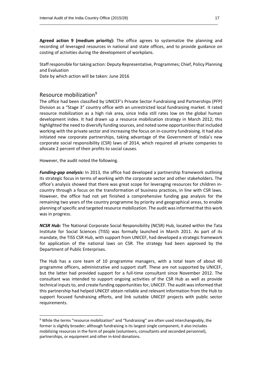**Agreed action 9 (medium priority):** The office agrees to systematize the planning and recording of leveraged resources in national and state offices, and to provide guidance on costing of activities during the development of workplans.

\_\_\_\_\_\_\_\_\_\_\_\_\_\_\_\_\_\_\_\_\_\_\_\_\_\_\_\_\_\_\_\_\_\_\_\_\_\_\_\_\_\_\_\_\_\_\_\_\_\_\_\_\_\_\_\_\_\_\_\_\_\_\_\_\_\_\_\_\_\_\_\_\_\_\_\_\_\_\_\_\_

Staff responsible for taking action: Deputy Representative, Programmes; Chief, Policy Planning and Evaluation

Date by which action will be taken: June 2016

# Resource mobilization<sup>9</sup>

The office had been classified by UNICEF's Private Sector Fundraising and Partnerships (PFP) Division as a "Stage 3" country office with an unrestricted local fundraising market. It rated resource mobilization as a high risk area, since India still rates low on the global human development index. It had drawn up a resource mobilization strategy in March 2012; this highlighted the need to diversify funding sources, and noted some opportunities that included working with the private sector and increasing the focus on in-country fundraising. It had also initiated new corporate partnerships, taking advantage of the Government of India's new corporate social responsibility (CSR) laws of 2014, which required all private companies to allocate 2 percent of their profits to social causes.

However, the audit noted the following.

1

*Funding-gap analysis:* In 2013, the office had developed a partnership framework outlining its strategic focus in terms of working with the corporate sector and other stakeholders. The office's analysis showed that there was great scope for leveraging resources for children incountry through a focus on the transformation of business practices, in line with CSR laws. However, the office had not yet finished a comprehensive funding gap analysis for the remaining two years of the country programme by priority and geographical areas, to enable planning of specific and targeted resource mobilization. The audit was informed that this work was in progress.

*NCSR Hub:* The National Corporate Social Responsibility (NCSR) Hub, located within the Tata Institute for Social Sciences (TISS) was formally launched in March 2011. As part of its mandate, the TISS CSR Hub, with support from UNICEF, had developed a strategic framework for application of the national laws on CSR. The strategy had been approved by the Department of Public Enterprises.

The Hub has a core team of 10 programme managers, with a total team of about 40 programme officers, administrative and support staff. These are not supported by UNICEF, but the latter had provided support for a full-time consultant since November 2012. The consultant was intended to support ongoing activities of the CSR Hub as well as provide technical inputs to, and create funding opportunities for, UNICEF. The audit was informed that this partnership had helped UNICEF obtain reliable and relevant information from the Hub to support focused fundraising efforts, and link suitable UNICEF projects with public sector requirements.

<sup>&</sup>lt;sup>9</sup> While the terms "resource mobilization" and "fundraising" are often used interchangeably, the former is slightly broader; although fundraising is its largest single component, it also includes mobilizing resources in the form of people (volunteers, consultants and seconded personnel), partnerships, or equipment and other in-kind donations.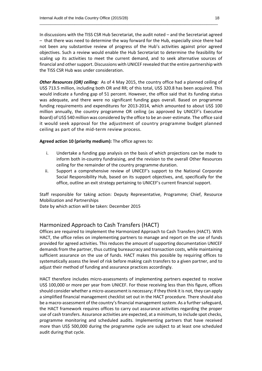In discussions with the TISS CSR Hub Secretariat, the audit noted – and the Secretariat agreed – that there was need to determine the way forward for the Hub, especially since there had not been any substantive review of progress of the Hub's activities against prior agreed objectives. Such a review would enable the Hub Secretariat to determine the feasibility for scaling up its activities to meet the current demand, and to seek alternative sources of financial and other support. Discussions with UNICEF revealed that the entire partnership with the TISS CSR Hub was under consideration.

\_\_\_\_\_\_\_\_\_\_\_\_\_\_\_\_\_\_\_\_\_\_\_\_\_\_\_\_\_\_\_\_\_\_\_\_\_\_\_\_\_\_\_\_\_\_\_\_\_\_\_\_\_\_\_\_\_\_\_\_\_\_\_\_\_\_\_\_\_\_\_\_\_\_\_\_\_\_\_\_\_

*Other Resources (OR) ceiling:* As of 4 May 2015, the country office had a planned ceiling of US\$ 713.5 million, including both OR and RR; of this total, US\$ 320.8 has been acquired. This would indicate a funding gap of 51 percent. However, the office said that its funding status was adequate, and there were no significant funding gaps overall. Based on programme funding requirements and expenditures for 2013-2014, which amounted to about US\$ 100 million annually, the country programme OR ceiling (as approved by UNICEF's Executive Board) of US\$ 540 million was considered by the office to be an over-estimate. The office said it would seek approval for the adjustment of country programme budget planned ceiling as part of the mid-term review process.

**Agreed action 10 (priority medium):** The office agrees to:

- i. Undertake a funding gap analysis on the basis of which projections can be made to inform both in-country fundraising, and the revision to the overall Other Resources ceiling for the remainder of the country programme duration.
- ii. Support a comprehensive review of UNICEF's support to the National Corporate Social Responsibility Hub, based on its support objectives, and, specifically for the office, outline an exit strategy pertaining to UNICEF's current financial support.

Staff responsible for taking action: Deputy Representative, Programme; Chief, Resource Mobilization and Partnerships

Date by which action will be taken: December 2015

# Harmonized Approach to Cash Transfers (HACT)

Offices are required to implement the Harmonized Approach to Cash Transfers (HACT). With HACT, the office relies on implementing partners to manage and report on the use of funds provided for agreed activities. This reduces the amount of supporting documentation UNICEF demands from the partner, thus cutting bureaucracy and transaction costs, while maintaining sufficient assurance on the use of funds. HACT makes this possible by requiring offices to systematically assess the level of risk before making cash transfers to a given partner, and to adjust their method of funding and assurance practices accordingly.

HACT therefore includes micro-assessments of implementing partners expected to receive US\$ 100,000 or more per year from UNICEF. For those receiving less than this figure, offices should consider whether a micro-assessment is necessary; if they think it is not, they can apply a simplified financial management checklist set out in the HACT procedure. There should also be a macro-assessment of the country's financial management system. As a further safeguard, the HACT framework requires offices to carry out assurance activities regarding the proper use of cash transfers. Assurance activities are expected, at a minimum, to include spot checks, programme monitoring and scheduled audits. Implementing partners that have received more than US\$ 500,000 during the programme cycle are subject to at least one scheduled audit during that cycle.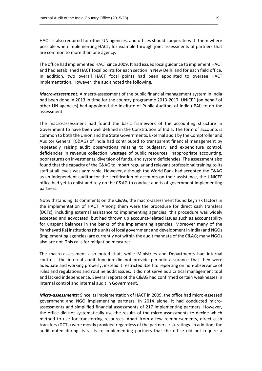HACT is also required for other UN agencies, and offices should cooperate with them where possible when implementing HACT, for example through joint assessments of partners that are common to more than one agency.

\_\_\_\_\_\_\_\_\_\_\_\_\_\_\_\_\_\_\_\_\_\_\_\_\_\_\_\_\_\_\_\_\_\_\_\_\_\_\_\_\_\_\_\_\_\_\_\_\_\_\_\_\_\_\_\_\_\_\_\_\_\_\_\_\_\_\_\_\_\_\_\_\_\_\_\_\_\_\_\_\_

The office had implemented HACT since 2009. It had issued local guidance to implement HACT and had established HACT focal points for each section in New Delhi and for each field office. In addition, two overall HACT focal points had been appointed to oversee HACT implementation. However, the audit noted the following.

*Macro-assessment:* A macro-assessment of the public financial management system in India had been done in 2013 in time for the country programme 2013-2017. UNICEF (on behalf of other UN agencies) had appointed the Institute of Public Auditors of India (IPAI) to do the assessment.

The macro-assessment had found the basic framework of the accounting structure in Government to have been well defined in the Constitution of India. The form of accounts is common to both the Union and the State Governments. External audit by the Comptroller and Auditor General (C&AG) of India had contributed to transparent financial management by repeatedly raising audit observations relating to budgetary and expenditure control, deficiencies in revenue collection, wastage of public resources, inappropriate accounting, poor returns on investments, diversion of funds, and system deficiencies. The assessment also found that the capacity of the C&AG to impart regular and relevant professional training to its staff at all levels was admirable. However, although the World Bank had accepted the C&AG as an independent auditor for the certification of accounts on their assistance, the UNICEF office had yet to enlist and rely on the C&AG to conduct audits of government implementing partners.

Notwithstanding its comments on the C&AG, the macro-assessment found key risk factors in the implementation of HACT. Among them were the procedure for direct cash transfers (DCTs), including external assistance to implementing agencies; this procedure was widely accepted and advocated, but had thrown up accounts-related issues such as accountability for unspent balances in the banks of the implementing agencies. Moreover many of the Panchayati Raj institutions(the units of local government and development in India) and NGOs (implementing agencies) are currently not within the audit mandate of the C&AG; many NGOs also are not. This calls for mitigation measures.

The macro-assessment also noted that, while Ministries and Departments had internal controls, the internal audit function did not provide periodic assurance that they were adequate and working properly; instead it restricted itself to reporting on non-observance of rules and regulations and routine audit issues. It did not serve as a critical management tool and lacked independence. Several reports of the C&AG had confirmed certain weaknesses in internal control and internal audit in Government.

*Micro‐assessments:* Since its implementation of HACT in 2009, the office had micro-assessed government and NGO implementing partners. In 2014 alone, it had conducted microassessments and simplified financial assessments of 217 implementing partners. However, the office did not systematically use the results of the micro-assessments to decide which method to use for transferring resources. Apart from a few reimbursements, direct cash transfers (DCTs) were mostly provided regardless of the partners' risk ratings. In addition, the audit noted during its visits to implementing partners that the office did not require a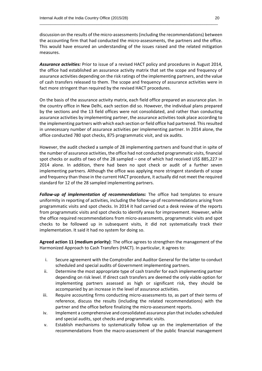discussion on the results of the micro-assessments (including the recommendations) between the accounting firm that had conducted the micro-assessments, the partners and the office. This would have ensured an understanding of the issues raised and the related mitigation measures.

\_\_\_\_\_\_\_\_\_\_\_\_\_\_\_\_\_\_\_\_\_\_\_\_\_\_\_\_\_\_\_\_\_\_\_\_\_\_\_\_\_\_\_\_\_\_\_\_\_\_\_\_\_\_\_\_\_\_\_\_\_\_\_\_\_\_\_\_\_\_\_\_\_\_\_\_\_\_\_\_\_

*Assurance activities:* Prior to issue of a revised HACT policy and procedures in August 2014, the office had established an assurance activity matrix that set the scope and frequency of assurance activities depending on the risk ratings of the implementing partners, and the value of cash transfers released to them. The scope and frequency of assurance activities were in fact more stringent than required by the revised HACT procedures.

On the basis of the assurance activity matrix, each field office prepared an assurance plan. In the country office in New Delhi, each section did so. However, the individual plans prepared by the sections and the 13 field offices were not consolidated, and rather than conducting assurance activities by implementing partner, the assurance activities took place according to the implementing partners with which each section or field office had partnered. This resulted in unnecessary number of assurance activities per implementing partner. In 2014 alone, the office conducted 780 spot checks, 875 programmatic visit, and six audits.

However, the audit checked a sample of 28 implementing partners and found that in spite of the number of assurance activities, the office had not conducted programmatic visits, financial spot checks or audits of two of the 28 sampled – one of which had received US\$ 885,227 in 2014 alone. In addition, there had been no spot check or audit of a further seven implementing partners. Although the office was applying more stringent standards of scope and frequency than those in the current HACT procedure, it actually did not meet the required standard for 12 of the 28 sampled implementing partners.

*Follow-up of implementation of recommendations:* The office had templates to ensure uniformity in reporting of activities, including the follow-up of recommendations arising from programmatic visits and spot checks. In 2014 it had carried out a desk review of the reports from programmatic visits and spot checks to identify areas for improvement. However, while the office required recommendations from micro-assessments, programmatic visits and spot checks to be followed up in subsequent visits, it did not systematically track their implementation. It said it had no system for doing so.

**Agreed action 11 (medium priority)**: The office agrees to strengthen the management of the Harmonized Approach to Cash Transfers (HACT). In particular, it agrees to:

- i. Secure agreement with the Comptroller and Auditor General for the latter to conduct scheduled and special audits of Government implementing partners.
- ii. Determine the most appropriate type of cash transfer for each implementing partner depending on risk level. If direct cash transfers are deemed the only viable option for implementing partners assessed as high or significant risk, they should be accompanied by an increase in the level of assurance activities.
- iii. Require accounting firms conducting micro-assessments to, as part of their terms of reference, discuss the results (including the related recommendations) with the partner and the office before finalizing the micro-assessment reports.
- iv. Implement a comprehensive and consolidated assurance plan that includes scheduled and special audits, spot checks and programmatic visits.
- v. Establish mechanisms to systematically follow up on the implementation of the recommendations from the macro-assessment of the public financial management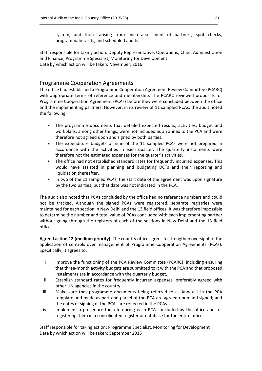system, and those arising from micro-assessment of partners, spot checks, programmatic visits, and scheduled audits.

Staff responsible for taking action: Deputy Representative, Operations; Chief, Administration and Finance; Programme Specialist, Monitoring for Development Date by which action will be taken: November, 2016

\_\_\_\_\_\_\_\_\_\_\_\_\_\_\_\_\_\_\_\_\_\_\_\_\_\_\_\_\_\_\_\_\_\_\_\_\_\_\_\_\_\_\_\_\_\_\_\_\_\_\_\_\_\_\_\_\_\_\_\_\_\_\_\_\_\_\_\_\_\_\_\_\_\_\_\_\_\_\_\_\_

# Programme Cooperation Agreements

The office had established a Programme Cooperation Agreement Review Committee (PCARC) with appropriate terms of reference and membership. The PCARC reviewed proposals for Programme Cooperation Agreement (PCAs) before they were concluded between the office and the implementing partners. However, in its review of 11 sampled PCAs, the audit noted the following:

- The programme documents that detailed expected results, activities, budget and workplans, among other things, were not included as an annex to the PCA and were therefore not agreed upon and signed by both parties.
- The expenditure budgets of nine of the 11 sampled PCAs were not prepared in accordance with the activities in each quarter. The quarterly instalments were therefore not the estimated expenses for the quarter's activities.
- The office had not established standard rates for frequently incurred expenses. This would have assisted in planning and budgeting DCTs and their reporting and liquidation thereafter.
- In two of the 11 sampled PCAs, the start date of the agreement was upon signature by the two parties, but that date was not indicated in the PCA.

The audit also noted that PCAs concluded by the office had no reference numbers and could not be tracked. Although the signed PCAs were registered, separate registries were maintained for each section in New Delhi and the 13 field offices. It was therefore impossible to determine the number and total value of PCAs concluded with each implementing partner without going through the registers of each of the sections in New Delhi and the 13 field offices.

**Agreed action 12 (medium priority)**: The country office agrees to strengthen oversight of the application of controls over management of Programme Cooperation Agreements (PCAs). Specifically, it agrees to:

- i. Improve the functioning of the PCA Review Committee (PCARC), including ensuring that three-month activity budgets are submitted to it with the PCA and that proposed instalments are in accordance with the quarterly budget.
- ii. Establish standard rates for frequently incurred expenses, preferably agreed with other UN agencies in the country.
- iii. Make sure that programme documents being referred to as Annex 1 in the PCA template and made as part and parcel of the PCA are agreed upon and signed; and the dates of signing of the PCAs are reflected in the PCAs.
- iv. Implement a procedure for referencing each PCA concluded by the office and for registering them in a consolidated register or database for the entire office.

Staff responsible for taking action: Programme Specialist, Monitoring for Development Date by which action will be taken: September 2015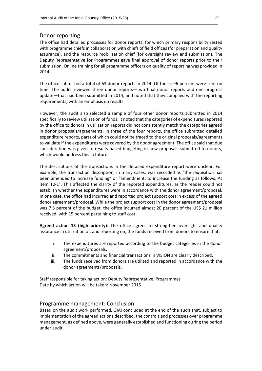## Donor reporting

The office had detailed processes for donor reports, for which primary responsibility rested with programme chiefs in collaboration with chiefs of field offices (for preparation and quality assurance), and the resource mobilization chief (for oversight review and submission). The Deputy Representative for Programmes gave final approval of donor reports prior to their submission. Online training for all programme officers on quality of reporting was provided in 2014.

\_\_\_\_\_\_\_\_\_\_\_\_\_\_\_\_\_\_\_\_\_\_\_\_\_\_\_\_\_\_\_\_\_\_\_\_\_\_\_\_\_\_\_\_\_\_\_\_\_\_\_\_\_\_\_\_\_\_\_\_\_\_\_\_\_\_\_\_\_\_\_\_\_\_\_\_\_\_\_\_\_

The office submitted a total of 63 donor reports in 2014. Of these, 96 percent were sent on time. The audit reviewed three donor reports—two final donor reports and one progress update—that had been submitted in 2014, and noted that they complied with the reporting requirements, with an emphasis on results.

However, the audit also selected a sample of four other donor reports submitted in 2014 specifically to review utilization of funds. It noted that the categories of expenditures reported by the office to donors in utilization reports did not consistently match the categories agreed in donor proposals/agreements. In three of the four reports, the office submitted detailed expenditure reports, parts of which could not be traced to the original proposals/agreements to validate if the expenditures were covered by the donor agreement. The office said that due consideration was given to results-based budgeting in new proposals submitted to donors, which would address this in future.

The descriptions of the transactions in the detailed expenditure report were unclear. For example, the transaction description, in many cases, was recorded as "the requisition has been amended to increase funding" or "amendment: to increase the funding as follows: At item 10-L". This affected the clarity of the reported expenditures, as the reader could not establish whether the expenditures were in accordance with the donor agreement/proposal. In one case, the office had incurred and reported project support cost in excess of the agreed donor agreement/proposal. While the project support cost in the donor agreement/proposal was 7.5 percent of the budget, the office incurred almost 20 percent of the US\$ 21 million received, with 15 percent pertaining to staff cost.

**Agreed action 13 (high priority)**: The office agrees to strengthen oversight and quality assurance in utilization of, and reporting on, the funds received from donors to ensure that:

- i. The expenditures are reported according to the budget categories in the donor agreement/proposals.
- ii. The commitments and financial transactions in VISION are clearly described.
- iii. The funds received from donors are utilized and reported in accordance with the donor agreements/proposals.

Staff responsible for taking action: Deputy Representative, Programmes Date by which action will be taken: November 2015

# Programme management: Conclusion

Based on the audit work performed, OIAI concluded at the end of the audit that, subject to implementation of the agreed actions described, the controls and processes over programme management, as defined above, were generally established and functioning during the period under audit.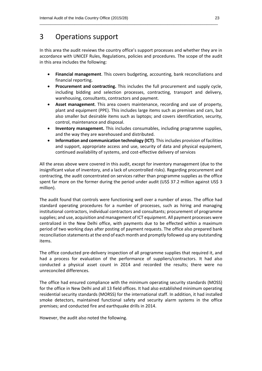# 3 Operations support

In this area the audit reviews the country office's support processes and whether they are in accordance with UNICEF Rules, Regulations, policies and procedures. The scope of the audit in this area includes the following:

\_\_\_\_\_\_\_\_\_\_\_\_\_\_\_\_\_\_\_\_\_\_\_\_\_\_\_\_\_\_\_\_\_\_\_\_\_\_\_\_\_\_\_\_\_\_\_\_\_\_\_\_\_\_\_\_\_\_\_\_\_\_\_\_\_\_\_\_\_\_\_\_\_\_\_\_\_\_\_\_\_

- **Financial management**. This covers budgeting, accounting, bank reconciliations and financial reporting.
- **Procurement and contracting.** This includes the full procurement and supply cycle, including bidding and selection processes, contracting, transport and delivery, warehousing, consultants, contractors and payment.
- **Asset management**. This area covers maintenance, recording and use of property, plant and equipment (PPE). This includes large items such as premises and cars, but also smaller but desirable items such as laptops; and covers identification, security, control, maintenance and disposal.
- **Inventory management.** This includes consumables, including programme supplies, and the way they are warehoused and distributed.
- **Information and communication technology (ICT)**. This includes provision of facilities and support, appropriate access and use, security of data and physical equipment, continued availability of systems, and cost-effective delivery of services

All the areas above were covered in this audit, except for inventory management (due to the insignificant value of inventory, and a lack of uncontrolled risks). Regarding procurement and contracting, the audit concentrated on services rather than programme supplies as the office spent far more on the former during the period under audit (US\$ 37.2 million against US\$ 3 million).

The audit found that controls were functioning well over a number of areas. The office had standard operating procedures for a number of processes, such as hiring and managing institutional contractors, individual contractors and consultants; procurement of programme supplies; and use, acquisition and management of ICT equipment. All payment processes were centralized in the New Delhi office, with payments due to be effected within a maximum period of two working days after posting of payment requests. The office also prepared bank reconciliation statements at the end of each month and promptly followed up any outstanding items.

The office conducted pre-delivery inspection of all programme supplies that required it, and had a process for evaluation of the performance of suppliers/contractors. It had also conducted a physical asset count in 2014 and recorded the results; there were no unreconciled differences.

The office had ensured compliance with the minimum operating security standards (MOSS) for the office in New Delhi and all 13 field offices. It had also established minimum operating residential security standards (MORSS) for the international staff. In addition, it had installed smoke detectors, maintained functional safety and security alarm systems in the office premises; and conducted fire and earthquake drills in 2014.

However, the audit also noted the following.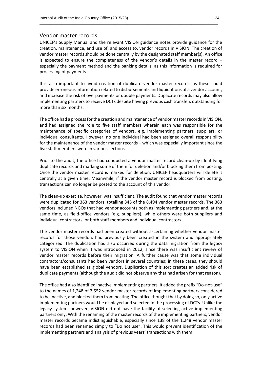#### Vendor master records

UNICEF's Supply Manual and the relevant VISION guidance notes provide guidance for the creation, maintenance, and use of, and access to, vendor records in VISION. The creation of vendor master records should be done centrally by the designated staff member(s). An office is expected to ensure the completeness of the vendor's details in the master record – especially the payment method and the banking details, as this information is required for processing of payments.

\_\_\_\_\_\_\_\_\_\_\_\_\_\_\_\_\_\_\_\_\_\_\_\_\_\_\_\_\_\_\_\_\_\_\_\_\_\_\_\_\_\_\_\_\_\_\_\_\_\_\_\_\_\_\_\_\_\_\_\_\_\_\_\_\_\_\_\_\_\_\_\_\_\_\_\_\_\_\_\_\_

It is also important to avoid creation of duplicate vendor master records, as these could provide erroneous information related to disbursements and liquidations of a vendor account, and increase the risk of overpayments or double payments. Duplicate records may also allow implementing partners to receive DCTs despite having previous cash transfers outstanding for more than six months.

The office had a process for the creation and maintenance of vendor master records in VISION, and had assigned the role to five staff members wherein each was responsible for the maintenance of specific categories of vendors, e.g. implementing partners, suppliers, or individual consultants. However, no one individual had been assigned overall responsibility for the maintenance of the vendor master records – which was especially important since the five staff members were in various sections.

Prior to the audit, the office had conducted a vendor master record clean-up by identifying duplicate records and marking some of them for deletion and/or blocking them from posting. Once the vendor master record is marked for deletion, UNICEF headquarters will delete it centrally at a given time. Meanwhile, if the vendor master record is blocked from posting, transactions can no longer be posted to the account of this vendor.

The clean-up exercise, however, was insufficient. The audit found that vendor master records were duplicated for 363 vendors, totalling 845 of the 8,494 vendor master records. The 363 vendors included NGOs that had vendor accounts both as implementing partners and, at the same time, as field-office vendors (e.g. suppliers); while others were both suppliers and individual contractors, or both staff members and individual contractors.

The vendor master records had been created without ascertaining whether vendor master records for those vendors had previously been created in the system and appropriately categorized. The duplication had also occurred during the data migration from the legacy system to VISION when it was introduced in 2012, since there was insufficient review of vendor master records before their migration. A further cause was that some individual contractors/consultants had been vendors in several countries; in these cases, they should have been established as global vendors. Duplication of this sort creates an added risk of duplicate payments (although the audit did not observe any that had arisen for that reason).

The office had also identified inactive implementing partners. It added the prefix "Do-not-use" to the names of 1,248 of 2,552 vendor master records of implementing partners considered to be inactive, and blocked them from posting. The office thought that by doing so, only active implementing partners would be displayed and selected in the processing of DCTs. Unlike the legacy system, however, VISION did not have the facility of selecting active implementing partners only. With the renaming of the master records of the implementing partners, vendor master records became indistinguishable, especially since 138 of the 1,248 vendor master records had been renamed simply to "Do not use". This would prevent identification of the implementing partners and analysis of previous years' transactions with them.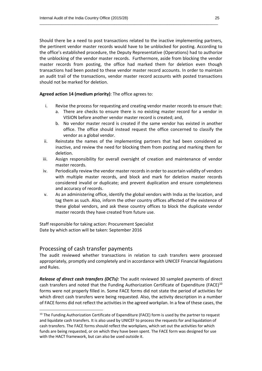Should there be a need to post transactions related to the inactive implementing partners, the pertinent vendor master records would have to be unblocked for posting. According to the office's established procedure, the Deputy Representative (Operations) had to authorize the unblocking of the vendor master records. Furthermore, aside from blocking the vendor master records from posting, the office had marked them for deletion even though transactions had been posted to these vendor master record accounts. In order to maintain an audit trail of the transactions, vendor master record accounts with posted transactions should not be marked for deletion.

\_\_\_\_\_\_\_\_\_\_\_\_\_\_\_\_\_\_\_\_\_\_\_\_\_\_\_\_\_\_\_\_\_\_\_\_\_\_\_\_\_\_\_\_\_\_\_\_\_\_\_\_\_\_\_\_\_\_\_\_\_\_\_\_\_\_\_\_\_\_\_\_\_\_\_\_\_\_\_\_\_

**Agreed action 14 (medium priority)**: The office agrees to:

- i. Revise the process for requesting and creating vendor master records to ensure that:
	- a. There are checks to ensure there is no existing master record for a vendor in VISION before another vendor master record is created; and,
	- b. No vendor master record is created if the same vendor has existed in another office. The office should instead request the office concerned to classify the vendor as a global vendor.
- ii. Reinstate the names of the implementing partners that had been considered as inactive, and review the need for blocking them from posting and marking them for deletion.
- iii. Assign responsibility for overall oversight of creation and maintenance of vendor master records.
- iv. Periodically review the vendor master records in order to ascertain validity of vendors with multiple master records, and block and mark for deletion master records considered invalid or duplicate; and prevent duplication and ensure completeness and accuracy of records.
- v. As an administering office, identify the global vendors with India as the location, and tag them as such. Also, inform the other country offices affected of the existence of these global vendors, and ask these country offices to block the duplicate vendor master records they have created from future use.

Staff responsible for taking action: Procurement Specialist Date by which action will be taken: September 2016

# Processing of cash transfer payments

**.** 

The audit reviewed whether transactions in relation to cash transfers were processed appropriately, promptly and completely and in accordance with UNICEF Financial Regulations and Rules.

*Release of direct cash transfers (DCTs):* The audit reviewed 30 sampled payments of direct cash transfers and noted that the Funding Authorization Certificate of Expenditure (FACE)<sup>10</sup> forms were not properly filled in. Some FACE forms did not state the period of activities for which direct cash transfers were being requested. Also, the activity description in a number of FACE forms did not reflect the activities in the agreed workplan. In a few of these cases, the

 $10$  The Funding Authorization Certificate of Expenditure (FACE) form is used by the partner to request and liquidate cash transfers. It is also used by UNICEF to process the requests for and liquidation of cash transfers. The FACE forms should reflect the workplans, which set out the activities for which funds are being requested, or on which they have been spent. The FACE form was designed for use with the HACT framework, but can also be used outside it.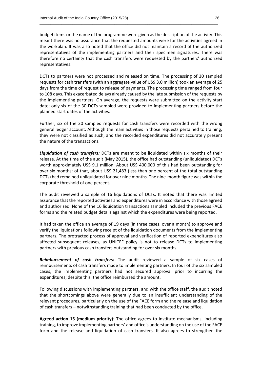budget items or the name of the programme were given as the description of the activity. This meant there was no assurance that the requested amounts were for the activities agreed in the workplan. It was also noted that the office did not maintain a record of the authorized representatives of the implementing partners and their specimen signatures. There was therefore no certainty that the cash transfers were requested by the partners' authorized representatives.

\_\_\_\_\_\_\_\_\_\_\_\_\_\_\_\_\_\_\_\_\_\_\_\_\_\_\_\_\_\_\_\_\_\_\_\_\_\_\_\_\_\_\_\_\_\_\_\_\_\_\_\_\_\_\_\_\_\_\_\_\_\_\_\_\_\_\_\_\_\_\_\_\_\_\_\_\_\_\_\_\_

DCTs to partners were not processed and released on time. The processing of 30 sampled requests for cash transfers (with an aggregate value of US\$ 3.0 million) took an average of 25 days from the time of request to release of payments. The processing time ranged from four to 108 days. This exacerbated delays already caused by the late submission of the requests by the implementing partners. On average, the requests were submitted on the activity start date; only six of the 30 DCTs sampled were provided to implementing partners before the planned start dates of the activities.

Further, six of the 30 sampled requests for cash transfers were recorded with the wrong general ledger account. Although the main activities in those requests pertained to training, they were not classified as such, and the recorded expenditures did not accurately present the nature of the transactions.

*Liquidation of cash transfers:* DCTs are meant to be liquidated within six months of their release. At the time of the audit (May 2015), the office had outstanding (unliquidated) DCTs worth approximately US\$ 9.1 million. About US\$ 400,000 of this had been outstanding for over six months; of that, about US\$ 21,483 (less than one percent of the total outstanding DCTs) had remained unliquidated for over nine months. The nine-month figure was within the corporate threshold of one percent.

The audit reviewed a sample of 16 liquidations of DCTs. It noted that there was limited assurance that the reported activities and expenditures were in accordance with those agreed and authorized. None of the 16 liquidation transactions sampled included the previous FACE forms and the related budget details against which the expenditures were being reported.

It had taken the office an average of 19 days (in three cases, over a month) to approve and verify the liquidations following receipt of the liquidation documents from the implementing partners. The protracted process of approval and verification of reported expenditures also affected subsequent releases, as UNICEF policy is not to release DCTs to implementing partners with previous cash transfers outstanding for over six months.

*Reimbursement of cash transfers:* The audit reviewed a sample of six cases of reimbursements of cash transfers made to implementing partners. In four of the six sampled cases, the implementing partners had not secured approval prior to incurring the expenditures; despite this, the office reimbursed the amount.

Following discussions with implementing partners, and with the office staff, the audit noted that the shortcomings above were generally due to an insufficient understanding of the relevant procedures, particularly on the use of the FACE form and the release and liquidation of cash transfers – notwithstanding training that had been conducted by the office.

**Agreed action 15 (medium priority)**: The office agrees to institute mechanisms, including training, to improve implementing partners' and office's understanding on the use of the FACE form and the release and liquidation of cash transfers. It also agrees to strengthen the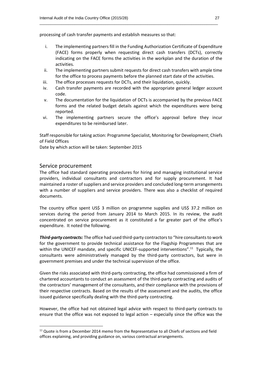processing of cash transfer payments and establish measures so that:

i. The implementing partners fill in the Funding Authorization Certificate of Expenditure (FACE) forms properly when requesting direct cash transfers (DCTs), correctly indicating on the FACE forms the activities in the workplan and the duration of the activities.

\_\_\_\_\_\_\_\_\_\_\_\_\_\_\_\_\_\_\_\_\_\_\_\_\_\_\_\_\_\_\_\_\_\_\_\_\_\_\_\_\_\_\_\_\_\_\_\_\_\_\_\_\_\_\_\_\_\_\_\_\_\_\_\_\_\_\_\_\_\_\_\_\_\_\_\_\_\_\_\_\_

- ii. The implementing partners submit requests for direct cash transfers with ample time for the office to process payments before the planned start date of the activities.
- iii. The office processes requests for DCTs, and their liquidation, quickly.
- iv. Cash transfer payments are recorded with the appropriate general ledger account code.
- v. The documentation for the liquidation of DCTs is accompanied by the previous FACE forms and the related budget details against which the expenditures were being reported.
- vi. The implementing partners secure the office's approval before they incur expenditures to be reimbursed later.

Staff responsible for taking action: Programme Specialist, Monitoring for Development; Chiefs of Field Offices

Date by which action will be taken: September 2015

### Service procurement

 $\overline{a}$ 

The office had standard operating procedures for hiring and managing institutional service providers, individual consultants and contractors and for supply procurement. It had maintained a roster of suppliers and service providers and concluded long-term arrangements with a number of suppliers and service providers. There was also a checklist of required documents.

The country office spent US\$ 3 million on programme supplies and US\$ 37.2 million on services during the period from January 2014 to March 2015. In its review, the audit concentrated on service procurement as it constituted a far greater part of the office's expenditure. It noted the following.

*Third-party contracts:* The office had used third-party contractors to "hire consultants to work for the government to provide technical assistance for the Flagship Programmes that are within the UNICEF mandate, and specific UNICEF-supported interventions".<sup>11</sup> Typically, the consultants were administratively managed by the third-party contractors, but were in government premises and under the technical supervision of the office.

Given the risks associated with third-party contracting, the office had commissioned a firm of chartered accountants to conduct an assessment of the third-party contracting and audits of the contractors' management of the consultants, and their compliance with the provisions of their respective contracts. Based on the results of the assessment and the audits, the office issued guidance specifically dealing with the third-party contracting.

However, the office had not obtained legal advice with respect to third-party contracts to ensure that the office was not exposed to legal action – especially since the office was the

<sup>&</sup>lt;sup>11</sup> Quote is from a December 2014 memo from the Representative to all Chiefs of sections and field offices explaining, and providing guidance on, various contractual arrangements.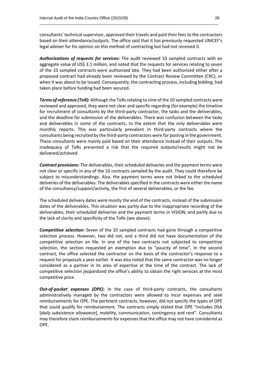consultants' technical supervisor, approved their travels and paid their fees to the contractors based on their attendance/outputs. The office said that it has previously requested UNICEF's legal adviser for his opinion on this method of contracting but had not received it.

\_\_\_\_\_\_\_\_\_\_\_\_\_\_\_\_\_\_\_\_\_\_\_\_\_\_\_\_\_\_\_\_\_\_\_\_\_\_\_\_\_\_\_\_\_\_\_\_\_\_\_\_\_\_\_\_\_\_\_\_\_\_\_\_\_\_\_\_\_\_\_\_\_\_\_\_\_\_\_\_\_

*Authorizations of requests for services:* The audit reviewed 10 sampled contracts with an aggregate value of US\$ 3.1 million, and noted that the requests for services relating to seven of the 10 sampled contracts were authorized late. They had been authorized either after a proposed contract had already been reviewed by the Contract Review Committee (CRC), or when it was about to be issued. Consequently, the contracting process, including bidding, had taken place before funding had been secured.

**Terms of reference (ToR):** Although the ToRs relating to nine of the 10 sampled contracts were reviewed and approved, they were not clear and specific regarding (for example) the timeline for recruitment of consultants by the third-party contractor, the tasks and the deliverables, and the deadline for submission of the deliverables. There was confusion between the tasks and deliverables in some of the contracts, to the extent that the only deliverables were monthly reports. This was particularly prevalent in third-party contracts where the consultants being recruited by the third-party contractors were for posting in the government. These consultants were mainly paid based on their attendance instead of their outputs. The inadequacy of ToRs presented a risk that the required outputs/results might not be delivered/achieved.

*Contract provisions:* The deliverables, their scheduled deliveries and the payment terms were not clear or specific in any of the 10 contracts sampled by the audit. They could therefore be subject to misunderstandings. Also, the payment terms were not linked to the scheduled deliveries of the deliverables. The deliverables specified in the contracts were either the name of the consultancy/support/activity, the first of several deliverables, or the fee.

The scheduled delivery dates were mostly the end of the contracts, instead of the submission dates of the deliverables. This situation was partly due to the inappropriate recording of the deliverables, their scheduled deliveries and the payment terms in VISION; and partly due to the lack of clarity and specificity of the ToRs (see above).

*Competitive selection:* Seven of the 10 sampled contracts had gone through a competitive selection process. However, two did not, and a third did not have documentation of the competitive selection on file. In one of the two contracts not subjected to competitive selection, the section requested an exemption due to "paucity of time". In the second contract, the office selected the contractor on the basis of the contractor's response to a request for proposals a year earlier. It was also noted that the same contractor was no longer considered as a partner in its area of expertise at the time of the contract. The lack of competitive selection jeopardized the office's ability to obtain the right services at the most competitive price.

*Out-of-pocket expenses (OPE):* In the case of third-party contracts, the consultants administratively managed by the contractors were allowed to incur expenses and seek reimbursements for OPE. The pertinent contracts, however, did not specify the types of OPE that could qualify for reimbursement. The contracts simply stated that OPE "includes DSA [*daily subsistence allowance*], mobility, communication, contingency and rent". Consultants may therefore claim reimbursements for expenses that the office may not have considered as OPE.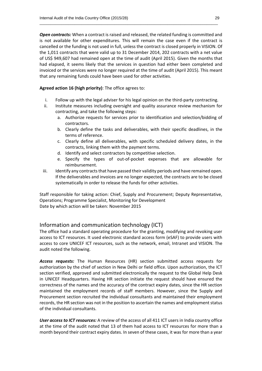*Open contracts:* When a contract is raised and released, the related funding is committed and is not available for other expenditures. This will remain the case even if the contract is cancelled or the funding is not used in full, unless the contract is closed properly in VISION. Of the 1,011 contracts that were valid up to 31 December 2014, 202 contracts with a net value of US\$ 949,607 had remained open at the time of audit (April 2015). Given the months that had elapsed, it seems likely that the services in question had either been completed and invoiced or the services were no longer required at the time of audit (April 2015). This meant that any remaining funds could have been used for other activities.

\_\_\_\_\_\_\_\_\_\_\_\_\_\_\_\_\_\_\_\_\_\_\_\_\_\_\_\_\_\_\_\_\_\_\_\_\_\_\_\_\_\_\_\_\_\_\_\_\_\_\_\_\_\_\_\_\_\_\_\_\_\_\_\_\_\_\_\_\_\_\_\_\_\_\_\_\_\_\_\_\_

**Agreed action 16 (high priority)**: The office agrees to:

- i. Follow up with the legal adviser for his legal opinion on the third-party contracting.
- ii. Institute measures including oversight and quality assurance review mechanism for contracting, and take the following steps:
	- a. Authorize requests for services prior to identification and selection/bidding of contractors.
	- b. Clearly define the tasks and deliverables, with their specific deadlines, in the terms of reference.
	- c. Clearly define all deliverables, with specific scheduled delivery dates, in the contracts, linking them with the payment terms.
	- d. Identify and select contractors by competitive selection.
	- e. Specify the types of out-of-pocket expenses that are allowable for reimbursement.
- iii. Identify any contracts that have passed their validity periods and have remained open. If the deliverables and invoices are no longer expected, the contracts are to be closed systematically in order to release the funds for other activities.

Staff responsible for taking action: Chief, Supply and Procurement; Deputy Representative, Operations; Programme Specialist, Monitoring for Development Date by which action will be taken: November 2015

# Information and communication technology (ICT)

The office had a standard operating procedure for the granting, modifying and revoking user access to ICT resources. It used electronic standard access form (eSAF) to provide users with access to core UNICEF ICT resources, such as the network, email, Intranet and VISION. The audit noted the following.

*Access requests:* The Human Resources (HR) section submitted access requests for authorization by the chief of section in New Delhi or field office. Upon authorization, the ICT section verified, approved and submitted electronically the request to the Global Help Desk in UNICEF Headquarters. Having HR section initiate the request should have ensured the correctness of the names and the accuracy of the contract expiry dates, since the HR section maintained the employment records of staff members. However, since the Supply and Procurement section recruited the individual consultants and maintained their employment records, the HR section was not in the position to ascertain the names and employment status of the individual consultants.

*User access to ICT resources:* A review of the access of all 411 ICT users in India country office at the time of the audit noted that 13 of them had access to ICT resources for more than a month beyond their contract expiry dates. In seven of these cases, it was for more than a year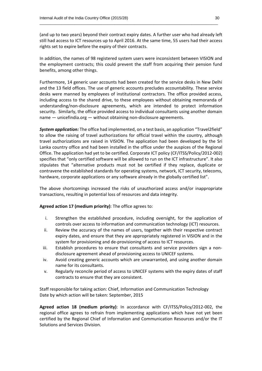(and up to two years) beyond their contract expiry dates. A further user who had already left still had access to ICT resources up to April 2016. At the same time, 55 users had their access rights set to expire before the expiry of their contracts.

\_\_\_\_\_\_\_\_\_\_\_\_\_\_\_\_\_\_\_\_\_\_\_\_\_\_\_\_\_\_\_\_\_\_\_\_\_\_\_\_\_\_\_\_\_\_\_\_\_\_\_\_\_\_\_\_\_\_\_\_\_\_\_\_\_\_\_\_\_\_\_\_\_\_\_\_\_\_\_\_\_

In addition, the names of 98 registered system users were inconsistent between VISION and the employment contracts; this could prevent the staff from acquiring their pension fund benefits, among other things.

Furthermore, 14 generic user accounts had been created for the service desks in New Delhi and the 13 field offices. The use of generic accounts precludes accountability. These service desks were manned by employees of institutional contractors. The office provided access, including access to the shared drive, to these employees without obtaining memoranda of understanding/non-disclosure agreements, which are intended to protect information security. Similarly, the office provided access to individual consultants using another domain name — unicefindia.org — without obtaining non-disclosure agreements.

*System application:* The office had implemented, on a test basis, an application "Travel2field" to allow the raising of travel authorizations for official travel within the country, although travel authorizations are raised in VISION. The application had been developed by the Sri Lanka country office and had been installed in the office under the auspices of the Regional Office. The application had yet to be certified. Corporate ICT policy (CF/ITSS/Policy/2012-002) specifies that "only certified software will be allowed to run on the ICT infrastructure". It also stipulates that "alternative products must not be certified if they replace, duplicate or contravene the established standards for operating systems, network, ICT security, telecoms, hardware, corporate applications or any software already in the globally certified list".

The above shortcomings increased the risks of unauthorized access and/or inappropriate transactions, resulting in potential loss of resources and data integrity.

**Agreed action 17 (medium priority)**: The office agrees to:

- i. Strengthen the established procedure, including oversight, for the application of controls over access to information and communication technology (ICT) resources.
- ii. Review the accuracy of the names of users, together with their respective contract expiry dates, and ensure that they are appropriately registered in VISION and in the system for provisioning and de-provisioning of access to ICT resources.
- iii. Establish procedures to ensure that consultants and service providers sign a nondisclosure agreement ahead of provisioning access to UNICEF systems.
- iv. Avoid creating generic accounts which are unwarranted, and using another domain name for its consultants.
- v. Regularly reconcile period of access to UNICEF systems with the expiry dates of staff contracts to ensure that they are consistent.

Staff responsible for taking action: Chief, Information and Communication Technology Date by which action will be taken: September, 2015

**Agreed action 18 (medium priority)**: In accordance with CF/ITSS/Policy/2012-002, the regional office agrees to refrain from implementing applications which have not yet been certified by the Regional Chief of Information and Communication Resources and/or the IT Solutions and Services Division.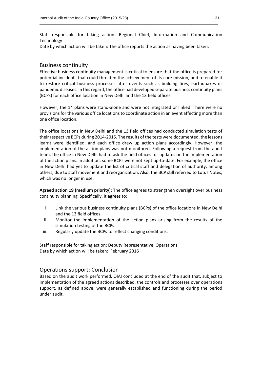Staff responsible for taking action: Regional Chief, Information and Communication Technology

\_\_\_\_\_\_\_\_\_\_\_\_\_\_\_\_\_\_\_\_\_\_\_\_\_\_\_\_\_\_\_\_\_\_\_\_\_\_\_\_\_\_\_\_\_\_\_\_\_\_\_\_\_\_\_\_\_\_\_\_\_\_\_\_\_\_\_\_\_\_\_\_\_\_\_\_\_\_\_\_\_

Date by which action will be taken: The office reports the action as having been taken.

### Business continuity

Effective business continuity management is critical to ensure that the office is prepared for potential incidents that could threaten the achievement of its core mission, and to enable it to restore critical business processes after events such as building fires, earthquakes or pandemic diseases. In this regard, the office had developed separate business continuity plans (BCPs) for each office location in New Delhi and the 13 field offices.

However, the 14 plans were stand-alone and were not integrated or linked. There were no provisions for the various office locations to coordinate action in an event affecting more than one office location.

The office locations in New Delhi and the 13 field offices had conducted simulation tests of their respective BCPs during 2014-2015. The results of the tests were documented, the lessons learnt were identified, and each office drew up action plans accordingly. However, the implementation of the action plans was not monitored. Following a request from the audit team, the office in New Delhi had to ask the field offices for updates on the implementation of the action plans. In addition, some BCPs were not kept up-to-date. For example, the office in New Delhi had yet to update the list of critical staff and delegation of authority, among others, due to staff movement and reorganization. Also, the BCP still referred to Lotus Notes, which was no longer in use.

**Agreed action 19 (medium priority)**: The office agrees to strengthen oversight over business continuity planning. Specifically, it agrees to:

- i. Link the various business continuity plans (BCPs) of the office locations in New Delhi and the 13 field offices.
- ii. Monitor the implementation of the action plans arising from the results of the simulation testing of the BCPs.
- iii. Regularly update the BCPs to reflect changing conditions.

Staff responsible for taking action: Deputy Representative, Operations Date by which action will be taken: February 2016

# Operations support: Conclusion

Based on the audit work performed, OIAI concluded at the end of the audit that, subject to implementation of the agreed actions described, the controls and processes over operations support, as defined above, were generally established and functioning during the period under audit.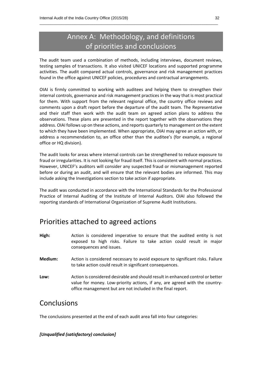# Annex A: Methodology, and definitions of priorities and conclusions

\_\_\_\_\_\_\_\_\_\_\_\_\_\_\_\_\_\_\_\_\_\_\_\_\_\_\_\_\_\_\_\_\_\_\_\_\_\_\_\_\_\_\_\_\_\_\_\_\_\_\_\_\_\_\_\_\_\_\_\_\_\_\_\_\_\_\_\_\_\_\_\_\_\_\_\_\_\_\_\_\_

The audit team used a combination of methods, including interviews, document reviews, testing samples of transactions. It also visited UNICEF locations and supported programme activities. The audit compared actual controls, governance and risk management practices found in the office against UNICEF policies, procedures and contractual arrangements.

OIAI is firmly committed to working with auditees and helping them to strengthen their internal controls, governance and risk management practices in the way that is most practical for them. With support from the relevant regional office, the country office reviews and comments upon a draft report before the departure of the audit team. The Representative and their staff then work with the audit team on agreed action plans to address the observations. These plans are presented in the report together with the observations they address. OIAI follows up on these actions, and reports quarterly to management on the extent to which they have been implemented. When appropriate, OIAI may agree an action with, or address a recommendation to, an office other than the auditee's (for example, a regional office or HQ division).

The audit looks for areas where internal controls can be strengthened to reduce exposure to fraud or irregularities. It is not looking for fraud itself. This is consistent with normal practices. However, UNICEF's auditors will consider any suspected fraud or mismanagement reported before or during an audit, and will ensure that the relevant bodies are informed. This may include asking the Investigations section to take action if appropriate.

The audit was conducted in accordance with the International Standards for the Professional Practice of Internal Auditing of the Institute of Internal Auditors. OIAI also followed the reporting standards of International Organization of Supreme Audit Institutions.

# Priorities attached to agreed actions

- **High:** Action is considered imperative to ensure that the audited entity is not exposed to high risks. Failure to take action could result in major consequences and issues.
- **Medium:** Action is considered necessary to avoid exposure to significant risks. Failure to take action could result in significant consequences.
- **Low:** Action is considered desirable and should result in enhanced control or better value for money. Low-priority actions, if any, are agreed with the countryoffice management but are not included in the final report.

# Conclusions

The conclusions presented at the end of each audit area fall into four categories:

# *[Unqualified (satisfactory) conclusion]*